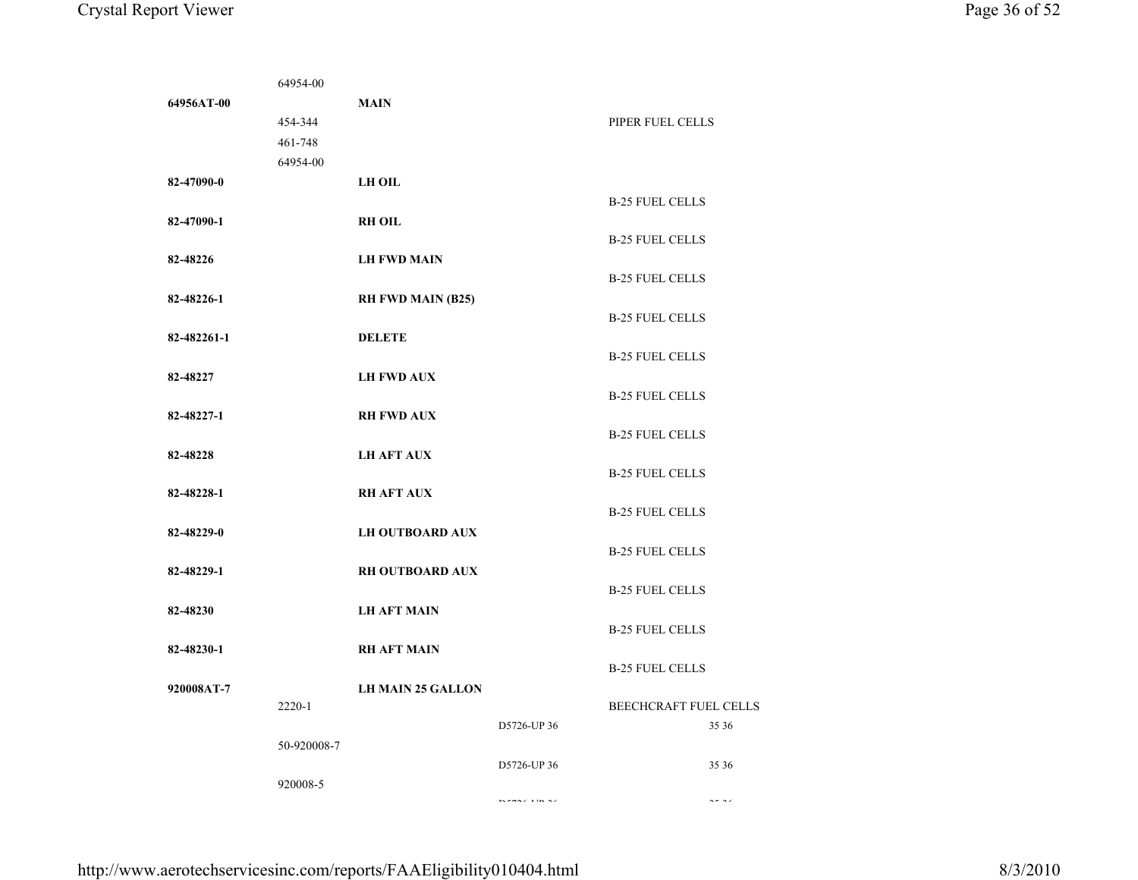|             | 64954-00    |                          |                     |                              |                                                                                       |
|-------------|-------------|--------------------------|---------------------|------------------------------|---------------------------------------------------------------------------------------|
| 64956AT-00  |             | <b>MAIN</b>              |                     |                              |                                                                                       |
|             | 454-344     |                          |                     | PIPER FUEL CELLS             |                                                                                       |
|             | 461-748     |                          |                     |                              |                                                                                       |
|             | 64954-00    |                          |                     |                              |                                                                                       |
| 82-47090-0  |             | <b>LH OIL</b>            |                     |                              |                                                                                       |
|             |             |                          |                     | <b>B-25 FUEL CELLS</b>       |                                                                                       |
| 82-47090-1  |             | <b>RH OIL</b>            |                     |                              |                                                                                       |
|             |             |                          |                     | <b>B-25 FUEL CELLS</b>       |                                                                                       |
| 82-48226    |             | <b>LH FWD MAIN</b>       |                     |                              |                                                                                       |
|             |             |                          |                     | <b>B-25 FUEL CELLS</b>       |                                                                                       |
| 82-48226-1  |             | <b>RH FWD MAIN (B25)</b> |                     |                              |                                                                                       |
|             |             |                          |                     | <b>B-25 FUEL CELLS</b>       |                                                                                       |
| 82-482261-1 |             | <b>DELETE</b>            |                     |                              |                                                                                       |
|             |             |                          |                     | <b>B-25 FUEL CELLS</b>       |                                                                                       |
| 82-48227    |             | <b>LH FWD AUX</b>        |                     |                              |                                                                                       |
|             |             |                          |                     | <b>B-25 FUEL CELLS</b>       |                                                                                       |
| 82-48227-1  |             | <b>RH FWD AUX</b>        |                     |                              |                                                                                       |
|             |             |                          |                     | <b>B-25 FUEL CELLS</b>       |                                                                                       |
| 82-48228    |             | <b>LH AFT AUX</b>        |                     |                              |                                                                                       |
|             |             |                          |                     | <b>B-25 FUEL CELLS</b>       |                                                                                       |
| 82-48228-1  |             | <b>RH AFT AUX</b>        |                     |                              |                                                                                       |
|             |             |                          |                     | <b>B-25 FUEL CELLS</b>       |                                                                                       |
| 82-48229-0  |             | <b>LH OUTBOARD AUX</b>   |                     |                              |                                                                                       |
|             |             |                          |                     | <b>B-25 FUEL CELLS</b>       |                                                                                       |
| 82-48229-1  |             | <b>RH OUTBOARD AUX</b>   |                     |                              |                                                                                       |
|             |             |                          |                     | <b>B-25 FUEL CELLS</b>       |                                                                                       |
| 82-48230    |             | <b>LH AFT MAIN</b>       |                     |                              |                                                                                       |
|             |             |                          |                     | <b>B-25 FUEL CELLS</b>       |                                                                                       |
| 82-48230-1  |             | <b>RH AFT MAIN</b>       |                     | <b>B-25 FUEL CELLS</b>       |                                                                                       |
| 920008AT-7  |             | <b>LH MAIN 25 GALLON</b> |                     |                              |                                                                                       |
|             | 2220-1      |                          |                     | <b>BEECHCRAFT FUEL CELLS</b> |                                                                                       |
|             |             |                          | D5726-UP 36         |                              | 35 36                                                                                 |
|             | 50-920008-7 |                          |                     |                              |                                                                                       |
|             |             |                          | D5726-UP 36         |                              | 35 36                                                                                 |
|             | 920008-5    |                          |                     |                              |                                                                                       |
|             |             |                          | an ama di ulum la d |                              | $\frac{1}{2} \frac{1}{2} \frac{1}{2} \frac{1}{2} \frac{1}{2} \frac{1}{2} \frac{1}{2}$ |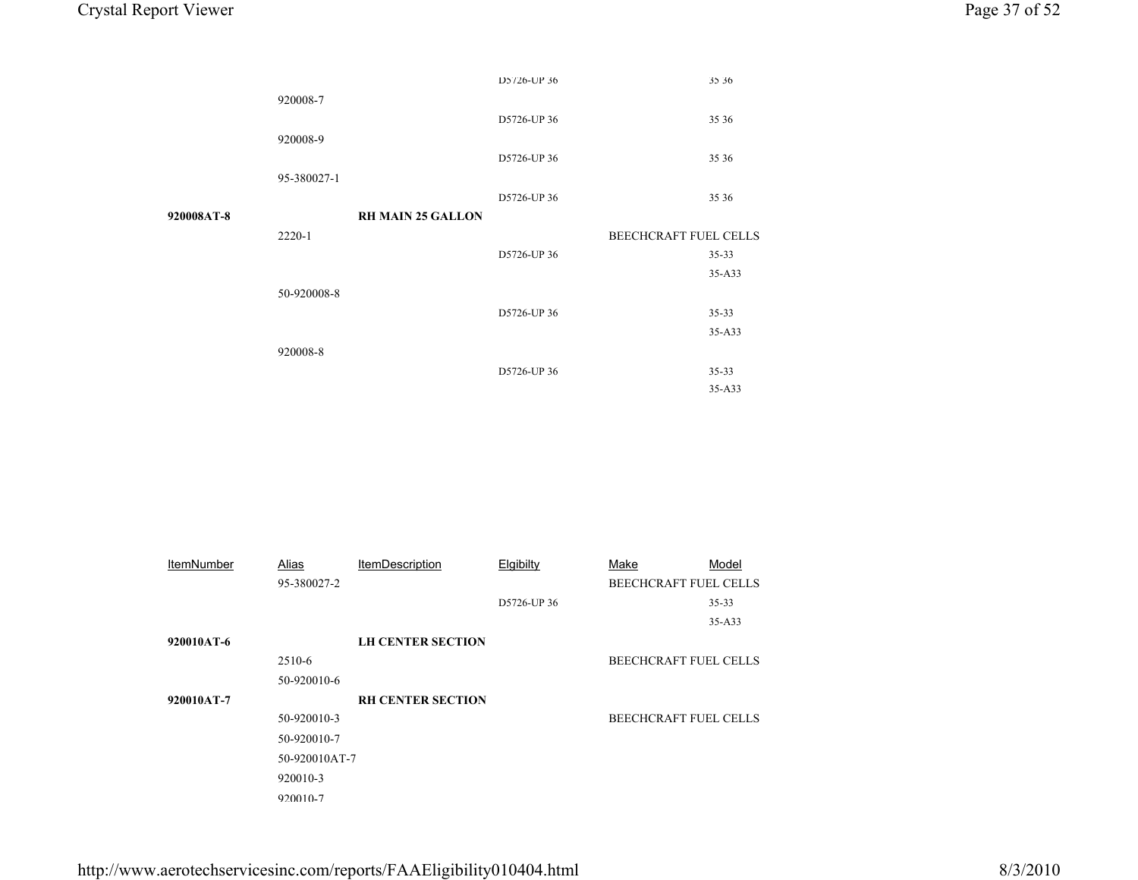|                   |               |                          | D5726-UP 36 |                       | 35 36                 |
|-------------------|---------------|--------------------------|-------------|-----------------------|-----------------------|
|                   | 920008-7      |                          |             |                       |                       |
|                   |               |                          | D5726-UP 36 |                       | 35 36                 |
|                   | 920008-9      |                          |             |                       |                       |
|                   |               |                          | D5726-UP 36 |                       | 35 36                 |
|                   | 95-380027-1   |                          |             |                       |                       |
|                   |               |                          | D5726-UP 36 |                       | 35 36                 |
| 920008AT-8        |               | <b>RH MAIN 25 GALLON</b> |             |                       |                       |
|                   | 2220-1        |                          |             |                       | BEECHCRAFT FUEL CELLS |
|                   |               |                          | D5726-UP 36 |                       | $35 - 33$             |
|                   |               |                          |             |                       | 35-A33                |
|                   | 50-920008-8   |                          |             |                       |                       |
|                   |               |                          | D5726-UP 36 |                       | $35 - 33$             |
|                   |               |                          |             |                       | 35-A33                |
|                   | 920008-8      |                          |             |                       |                       |
|                   |               |                          | D5726-UP 36 |                       | $35 - 33$             |
|                   |               |                          |             |                       | 35-A33                |
|                   |               |                          |             |                       |                       |
|                   |               |                          |             |                       |                       |
|                   |               |                          |             |                       |                       |
|                   |               |                          |             |                       |                       |
|                   |               |                          |             |                       |                       |
|                   |               |                          |             |                       |                       |
|                   |               |                          |             |                       |                       |
|                   |               |                          |             |                       |                       |
| <b>ItemNumber</b> | <b>Alias</b>  | <b>ItemDescription</b>   | Elgibilty   | Make                  | Model                 |
|                   | 95-380027-2   |                          |             | BEECHCRAFT FUEL CELLS |                       |
|                   |               |                          | D5726-UP 36 |                       | $35 - 33$             |
|                   |               |                          |             |                       | 35-A33                |
| 920010AT-6        |               | <b>LH CENTER SECTION</b> |             |                       |                       |
|                   | 2510-6        |                          |             | BEECHCRAFT FUEL CELLS |                       |
|                   | 50-920010-6   |                          |             |                       |                       |
| 920010AT-7        |               | <b>RH CENTER SECTION</b> |             |                       |                       |
|                   | 50-920010-3   |                          |             |                       | BEECHCRAFT FUEL CELLS |
|                   | 50-920010-7   |                          |             |                       |                       |
|                   | 50-920010AT-7 |                          |             |                       |                       |
|                   | 920010-3      |                          |             |                       |                       |
|                   | 920010-7      |                          |             |                       |                       |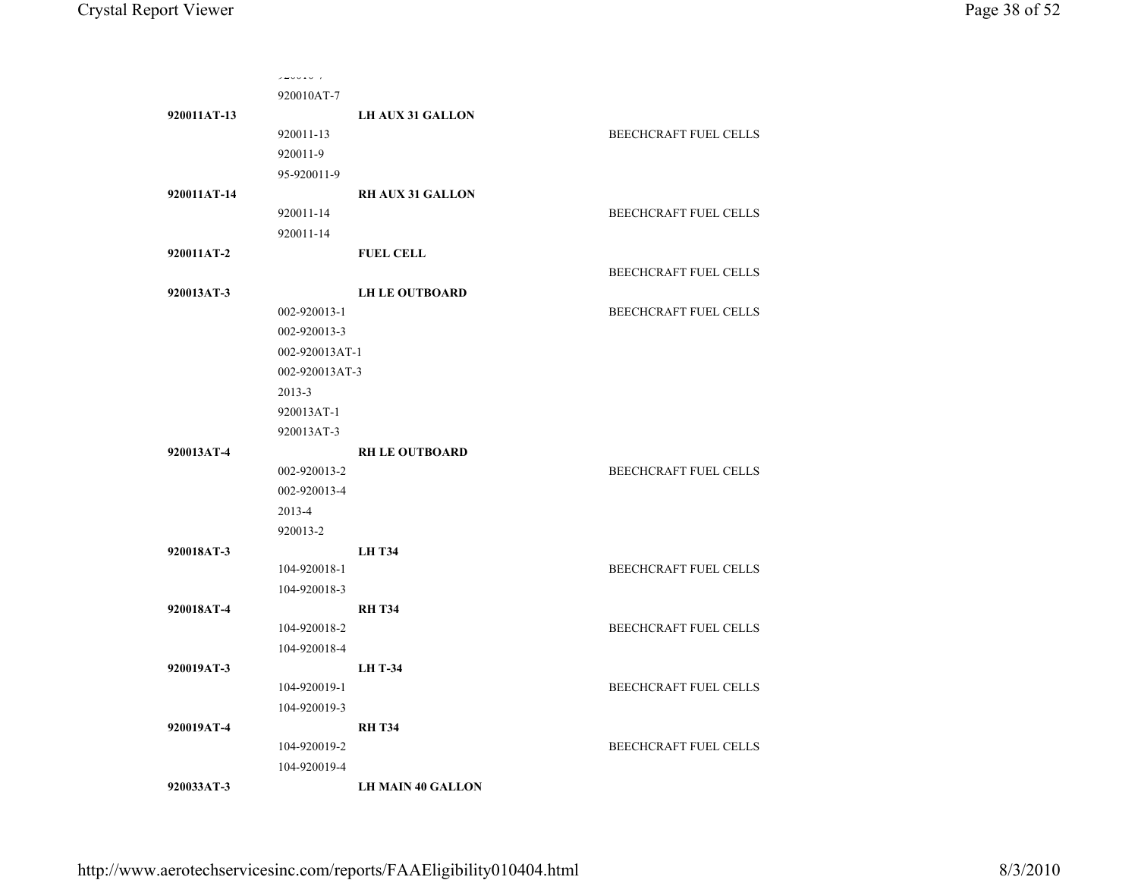|             | ノムマンエンジェ       |                          |                              |
|-------------|----------------|--------------------------|------------------------------|
|             | 920010AT-7     |                          |                              |
| 920011AT-13 |                | <b>LH AUX 31 GALLON</b>  |                              |
|             | 920011-13      |                          | BEECHCRAFT FUEL CELLS        |
|             | 920011-9       |                          |                              |
|             | 95-920011-9    |                          |                              |
| 920011AT-14 |                | <b>RH AUX 31 GALLON</b>  |                              |
|             | 920011-14      |                          | <b>BEECHCRAFT FUEL CELLS</b> |
|             | 920011-14      |                          |                              |
| 920011AT-2  |                | <b>FUEL CELL</b>         |                              |
|             |                |                          | BEECHCRAFT FUEL CELLS        |
| 920013AT-3  |                | <b>LH LE OUTBOARD</b>    |                              |
|             | 002-920013-1   |                          | BEECHCRAFT FUEL CELLS        |
|             | 002-920013-3   |                          |                              |
|             | 002-920013AT-1 |                          |                              |
|             | 002-920013AT-3 |                          |                              |
|             | $2013 - 3$     |                          |                              |
|             | 920013AT-1     |                          |                              |
|             | 920013AT-3     |                          |                              |
| 920013AT-4  |                | <b>RH LE OUTBOARD</b>    |                              |
|             | 002-920013-2   |                          | <b>BEECHCRAFT FUEL CELLS</b> |
|             | 002-920013-4   |                          |                              |
|             | 2013-4         |                          |                              |
|             | 920013-2       |                          |                              |
| 920018AT-3  |                | <b>LH T34</b>            |                              |
|             | 104-920018-1   |                          | <b>BEECHCRAFT FUEL CELLS</b> |
|             | 104-920018-3   |                          |                              |
| 920018AT-4  |                | <b>RH T34</b>            |                              |
|             | 104-920018-2   |                          | <b>BEECHCRAFT FUEL CELLS</b> |
|             | 104-920018-4   |                          |                              |
| 920019AT-3  |                | <b>LH T-34</b>           |                              |
|             | 104-920019-1   |                          | BEECHCRAFT FUEL CELLS        |
|             | 104-920019-3   |                          |                              |
| 920019AT-4  |                | <b>RH T34</b>            |                              |
|             | 104-920019-2   |                          | BEECHCRAFT FUEL CELLS        |
|             | 104-920019-4   |                          |                              |
| 920033AT-3  |                | <b>LH MAIN 40 GALLON</b> |                              |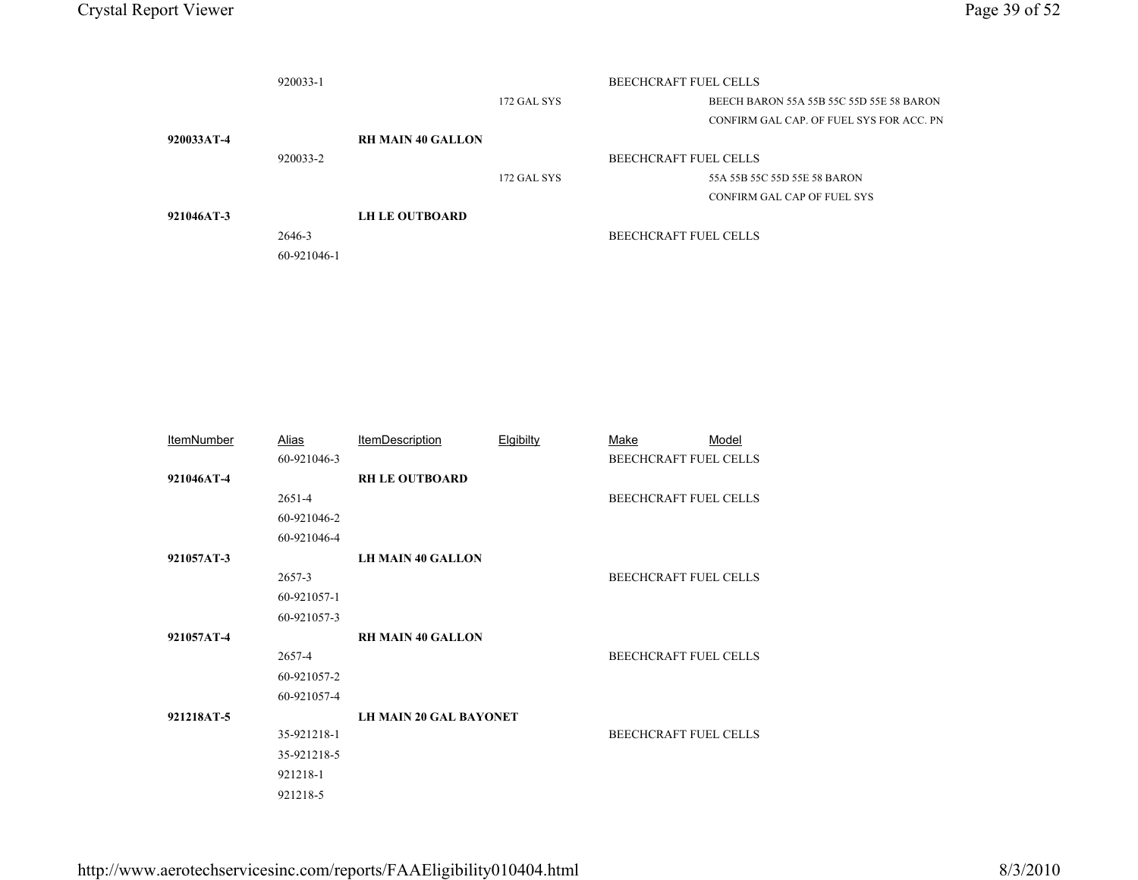|            | 920033-1    |                          | <b>BEECHCRAFT FUEL CELLS</b> |                              |                                          |
|------------|-------------|--------------------------|------------------------------|------------------------------|------------------------------------------|
|            |             |                          | 172 GAL SYS                  |                              | BEECH BARON 55A 55B 55C 55D 55E 58 BARON |
|            |             |                          |                              |                              | CONFIRM GAL CAP. OF FUEL SYS FOR ACC. PN |
| 920033AT-4 |             | <b>RH MAIN 40 GALLON</b> |                              |                              |                                          |
|            | 920033-2    |                          |                              | <b>BEECHCRAFT FUEL CELLS</b> |                                          |
|            |             |                          | 172 GAL SYS                  |                              | 55A 55B 55C 55D 55E 58 BARON             |
|            |             |                          |                              |                              | CONFIRM GAL CAP OF FUEL SYS              |
| 921046AT-3 |             | <b>LH LE OUTBOARD</b>    |                              |                              |                                          |
|            | 2646-3      |                          |                              | BEECHCRAFT FUEL CELLS        |                                          |
|            | 60-921046-1 |                          |                              |                              |                                          |
|            |             |                          |                              |                              |                                          |
|            |             |                          |                              |                              |                                          |
|            |             |                          |                              |                              |                                          |
|            |             |                          |                              |                              |                                          |

| <b>ItemNumber</b> | Alias       | <b>ItemDescription</b>        | Elgibilty | Make<br>Model                |  |
|-------------------|-------------|-------------------------------|-----------|------------------------------|--|
|                   | 60-921046-3 |                               |           | <b>BEECHCRAFT FUEL CELLS</b> |  |
| 921046AT-4        |             | <b>RH LE OUTBOARD</b>         |           |                              |  |
|                   | 2651-4      |                               |           | <b>BEECHCRAFT FUEL CELLS</b> |  |
|                   | 60-921046-2 |                               |           |                              |  |
|                   | 60-921046-4 |                               |           |                              |  |
| 921057AT-3        |             | <b>LH MAIN 40 GALLON</b>      |           |                              |  |
|                   | 2657-3      |                               |           | BEECHCRAFT FUEL CELLS        |  |
|                   | 60-921057-1 |                               |           |                              |  |
|                   | 60-921057-3 |                               |           |                              |  |
| 921057AT-4        |             | <b>RH MAIN 40 GALLON</b>      |           |                              |  |
|                   | 2657-4      |                               |           | <b>BEECHCRAFT FUEL CELLS</b> |  |
|                   | 60-921057-2 |                               |           |                              |  |
|                   | 60-921057-4 |                               |           |                              |  |
| 921218AT-5        |             | <b>LH MAIN 20 GAL BAYONET</b> |           |                              |  |
|                   | 35-921218-1 |                               |           | <b>BEECHCRAFT FUEL CELLS</b> |  |
|                   | 35-921218-5 |                               |           |                              |  |
|                   | 921218-1    |                               |           |                              |  |
|                   | 921218-5    |                               |           |                              |  |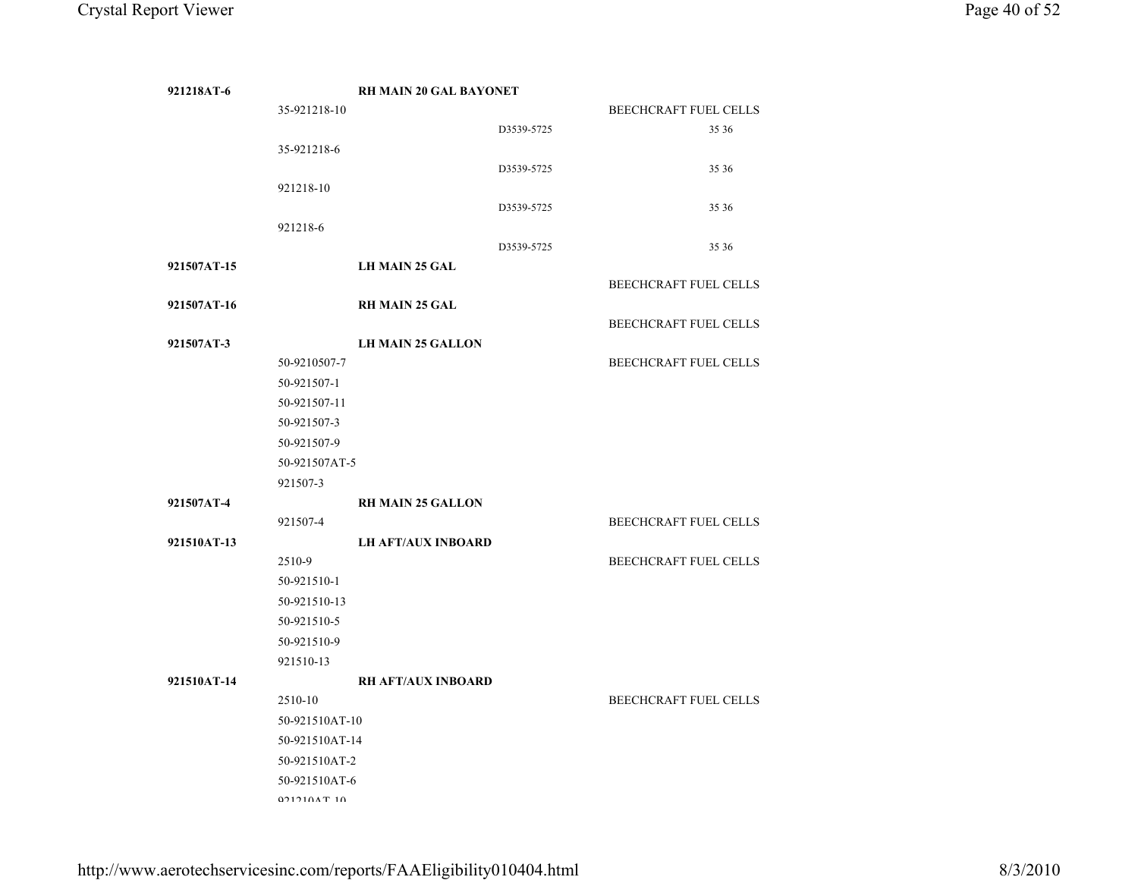| 921218AT-6  |                | <b>RH MAIN 20 GAL BAYONET</b> |            |                       |
|-------------|----------------|-------------------------------|------------|-----------------------|
|             | 35-921218-10   |                               |            | BEECHCRAFT FUEL CELLS |
|             |                |                               | D3539-5725 | 35 36                 |
|             | 35-921218-6    |                               |            |                       |
|             |                |                               | D3539-5725 | 35 36                 |
|             | 921218-10      |                               |            |                       |
|             |                |                               | D3539-5725 | 35 36                 |
|             | 921218-6       |                               |            |                       |
|             |                |                               | D3539-5725 | 35 36                 |
| 921507AT-15 |                | <b>LH MAIN 25 GAL</b>         |            |                       |
|             |                |                               |            | BEECHCRAFT FUEL CELLS |
| 921507AT-16 |                | <b>RH MAIN 25 GAL</b>         |            |                       |
|             |                |                               |            | BEECHCRAFT FUEL CELLS |
| 921507AT-3  |                | <b>LH MAIN 25 GALLON</b>      |            |                       |
|             | 50-9210507-7   |                               |            | BEECHCRAFT FUEL CELLS |
|             | 50-921507-1    |                               |            |                       |
|             | 50-921507-11   |                               |            |                       |
|             | 50-921507-3    |                               |            |                       |
|             | 50-921507-9    |                               |            |                       |
|             | 50-921507AT-5  |                               |            |                       |
|             | 921507-3       |                               |            |                       |
|             |                |                               |            |                       |
| 921507AT-4  |                | <b>RH MAIN 25 GALLON</b>      |            |                       |
|             | 921507-4       |                               |            | BEECHCRAFT FUEL CELLS |
| 921510AT-13 |                | <b>LH AFT/AUX INBOARD</b>     |            |                       |
|             | 2510-9         |                               |            | BEECHCRAFT FUEL CELLS |
|             | 50-921510-1    |                               |            |                       |
|             | 50-921510-13   |                               |            |                       |
|             | 50-921510-5    |                               |            |                       |
|             | 50-921510-9    |                               |            |                       |
|             | 921510-13      |                               |            |                       |
| 921510AT-14 |                | <b>RH AFT/AUX INBOARD</b>     |            |                       |
|             | 2510-10        |                               |            | BEECHCRAFT FUEL CELLS |
|             | 50-921510AT-10 |                               |            |                       |
|             | 50-921510AT-14 |                               |            |                       |
|             | 50-921510AT-2  |                               |            |                       |
|             | 50-921510AT-6  |                               |            |                       |
|             | 021210AT10     |                               |            |                       |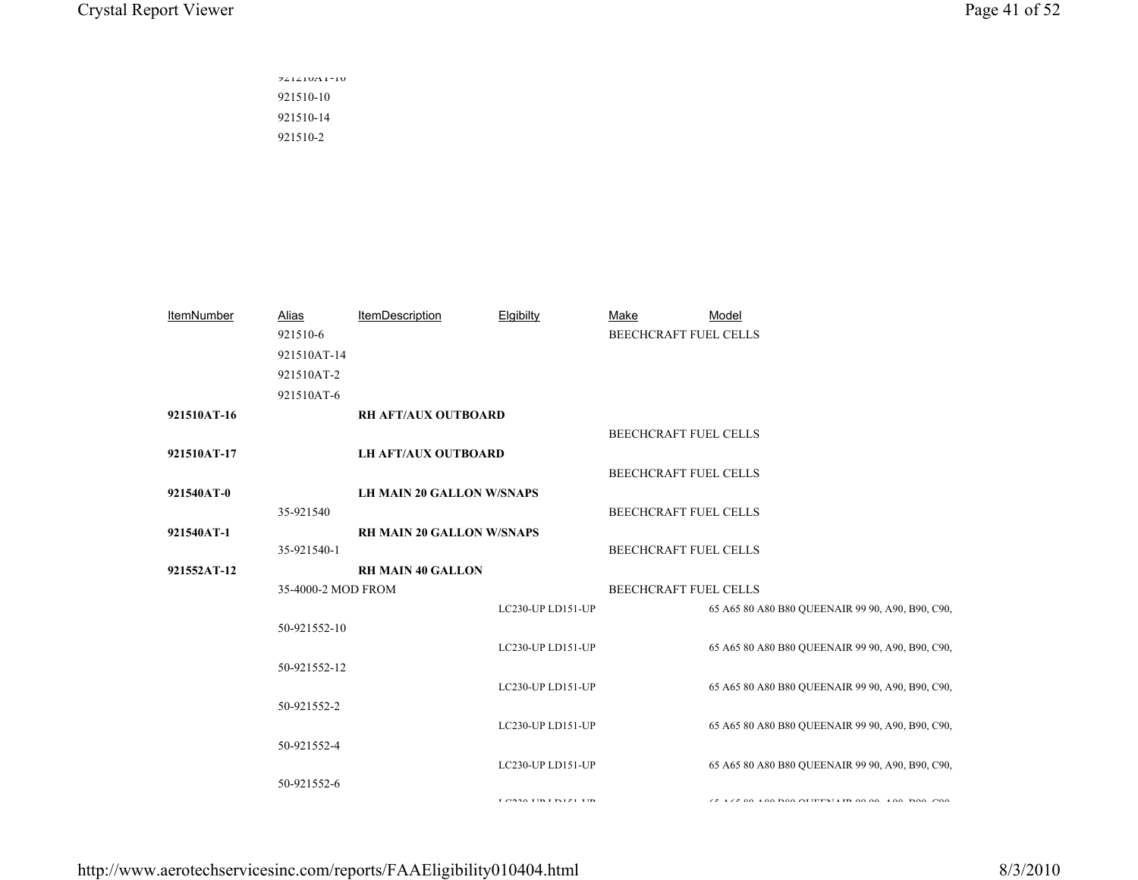921210AT-10 921510-10 921510-14 921510-2

| <b>ItemNumber</b> | Alias              | <b>ItemDescription</b>           | Elgibilty                                 | Make                         | Model                                                         |
|-------------------|--------------------|----------------------------------|-------------------------------------------|------------------------------|---------------------------------------------------------------|
|                   | 921510-6           |                                  |                                           | <b>BEECHCRAFT FUEL CELLS</b> |                                                               |
|                   | 921510AT-14        |                                  |                                           |                              |                                                               |
|                   | 921510AT-2         |                                  |                                           |                              |                                                               |
|                   | 921510AT-6         |                                  |                                           |                              |                                                               |
| 921510AT-16       |                    | <b>RH AFT/AUX OUTBOARD</b>       |                                           |                              |                                                               |
|                   |                    |                                  |                                           | <b>BEECHCRAFT FUEL CELLS</b> |                                                               |
| 921510AT-17       |                    | <b>LH AFT/AUX OUTBOARD</b>       |                                           |                              |                                                               |
|                   |                    |                                  |                                           | BEECHCRAFT FUEL CELLS        |                                                               |
| 921540AT-0        |                    | <b>LH MAIN 20 GALLON W/SNAPS</b> |                                           |                              |                                                               |
|                   | 35-921540          |                                  |                                           | BEECHCRAFT FUEL CELLS        |                                                               |
| 921540AT-1        |                    | <b>RH MAIN 20 GALLON W/SNAPS</b> |                                           |                              |                                                               |
|                   | 35-921540-1        |                                  |                                           | BEECHCRAFT FUEL CELLS        |                                                               |
| 921552AT-12       |                    | <b>RH MAIN 40 GALLON</b>         |                                           |                              |                                                               |
|                   | 35-4000-2 MOD FROM |                                  |                                           | <b>BEECHCRAFT FUEL CELLS</b> |                                                               |
|                   |                    |                                  | LC230-UP LD151-UP                         |                              | 65 A65 80 A80 B80 QUEENAIR 99 90, A90, B90, C90,              |
|                   | 50-921552-10       |                                  |                                           |                              |                                                               |
|                   |                    |                                  | LC230-UP LD151-UP                         |                              | 65 A65 80 A80 B80 QUEENAIR 99 90, A90, B90, C90,              |
|                   | 50-921552-12       |                                  |                                           |                              |                                                               |
|                   |                    |                                  | LC230-UP LD151-UP                         |                              | 65 A65 80 A80 B80 QUEENAIR 99 90, A90, B90, C90,              |
|                   | 50-921552-2        |                                  |                                           |                              |                                                               |
|                   |                    |                                  | LC230-UP LD151-UP                         |                              | 65 A65 80 A80 B80 QUEENAIR 99 90, A90, B90, C90,              |
|                   | 50-921552-4        |                                  |                                           |                              |                                                               |
|                   |                    |                                  | LC230-UP LD151-UP                         |                              | 65 A65 80 A80 B80 QUEENAIR 99 90, A90, B90, C90,              |
|                   | 50-921552-6        |                                  |                                           |                              |                                                               |
|                   |                    |                                  | $1.0220$ $\text{m}$ $\text{m}$ $\text{m}$ |                              | $175.00$ $100.000$ $\Omega$ $IPTY11$ $IQ0.00$ $IQ0.00$ $IQ00$ |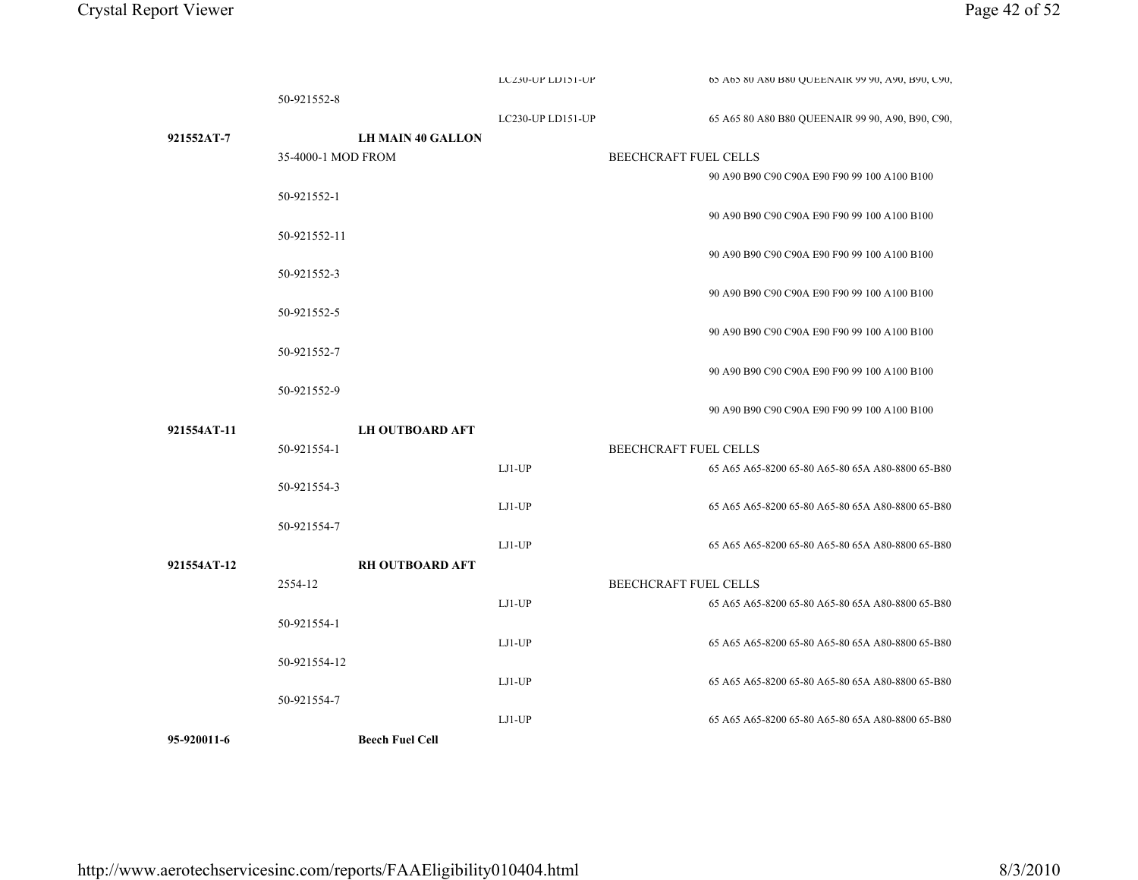|             | 50-921552-8              |                   |                                                  |
|-------------|--------------------------|-------------------|--------------------------------------------------|
|             |                          | LC230-UP LD151-UP | 65 A65 80 A80 B80 QUEENAIR 99 90, A90, B90, C90, |
| 921552AT-7  | <b>LH MAIN 40 GALLON</b> |                   |                                                  |
|             | 35-4000-1 MOD FROM       |                   | BEECHCRAFT FUEL CELLS                            |
|             |                          |                   | 90 A90 B90 C90 C90A E90 F90 99 100 A100 B100     |
|             | 50-921552-1              |                   |                                                  |
|             |                          |                   | 90 A90 B90 C90 C90A E90 F90 99 100 A100 B100     |
|             | 50-921552-11             |                   |                                                  |
|             |                          |                   | 90 A90 B90 C90 C90A E90 F90 99 100 A100 B100     |
|             | 50-921552-3              |                   |                                                  |
|             |                          |                   | 90 A90 B90 C90 C90A E90 F90 99 100 A100 B100     |
|             | 50-921552-5              |                   |                                                  |
|             |                          |                   | 90 A90 B90 C90 C90A E90 F90 99 100 A100 B100     |
|             | 50-921552-7              |                   |                                                  |
|             |                          |                   | 90 A90 B90 C90 C90A E90 F90 99 100 A100 B100     |
|             | 50-921552-9              |                   |                                                  |
|             |                          |                   | 90 A90 B90 C90 C90A E90 F90 99 100 A100 B100     |
| 921554AT-11 | <b>LH OUTBOARD AFT</b>   |                   |                                                  |
|             | 50-921554-1              |                   | BEECHCRAFT FUEL CELLS                            |
|             |                          | $LJ1-UP$          | 65 A65 A65-8200 65-80 A65-80 65A A80-8800 65-B80 |
|             | 50-921554-3              |                   |                                                  |
|             |                          | LJ1-UP            | 65 A65 A65-8200 65-80 A65-80 65A A80-8800 65-B80 |
|             | 50-921554-7              |                   |                                                  |
|             |                          | $LJ1-UP$          | 65 A65 A65-8200 65-80 A65-80 65A A80-8800 65-B80 |
| 921554AT-12 | <b>RH OUTBOARD AFT</b>   |                   |                                                  |
|             | 2554-12                  |                   | <b>BEECHCRAFT FUEL CELLS</b>                     |
|             |                          | LJ1-UP            | 65 A65 A65-8200 65-80 A65-80 65A A80-8800 65-B80 |
|             | 50-921554-1              |                   |                                                  |
|             |                          | $LJ1-UP$          | 65 A65 A65-8200 65-80 A65-80 65A A80-8800 65-B80 |
|             | 50-921554-12             |                   |                                                  |
|             |                          | LJ1-UP            | 65 A65 A65-8200 65-80 A65-80 65A A80-8800 65-B80 |
|             | 50-921554-7              |                   |                                                  |
|             |                          | $LJI-UP$          | 65 A65 A65-8200 65-80 A65-80 65A A80-8800 65-B80 |
| 95-920011-6 | <b>Beech Fuel Cell</b>   |                   |                                                  |

LC230-UP LD151-UP

05 A65 80 A80 B80 QUEENAIR 99 90, A90, B90, C90,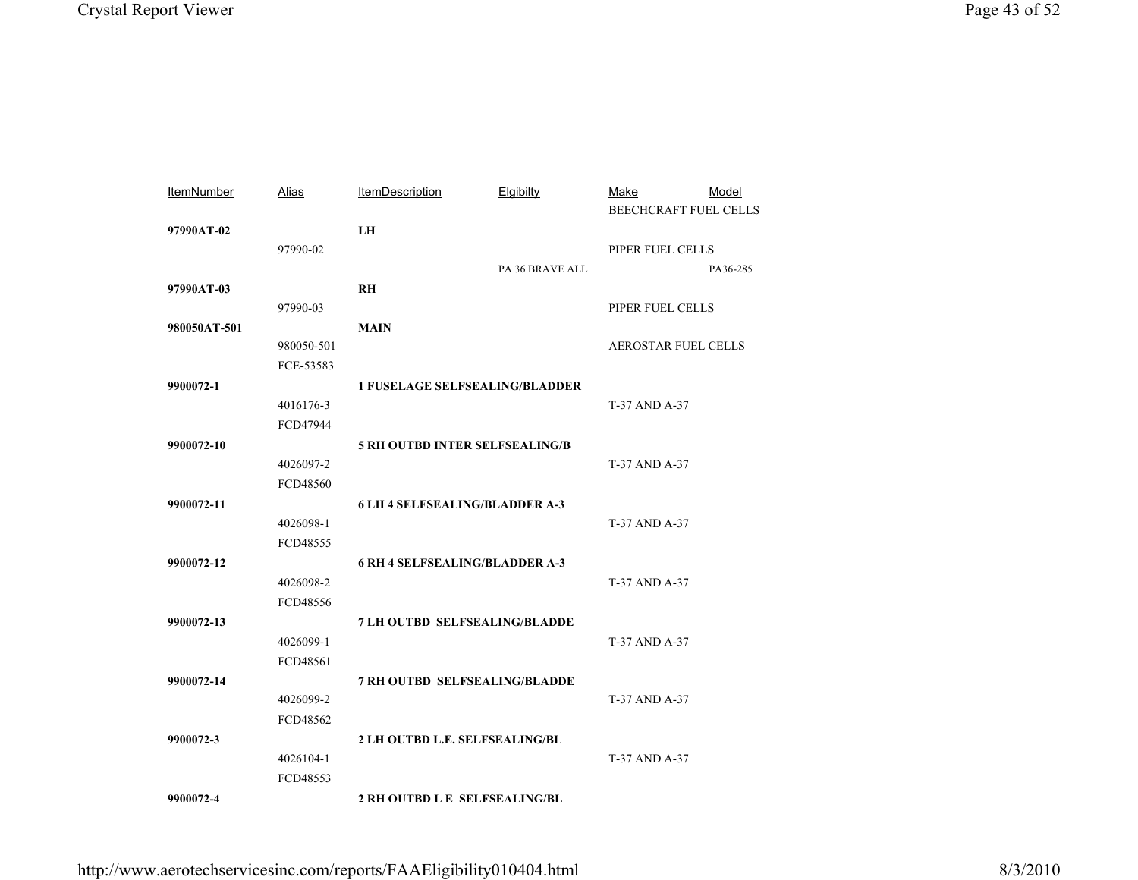| <b>ItemNumber</b> | Alias      | <b>ItemDescription</b>                | Elgibilty       | Make<br><b>BEECHCRAFT FUEL CELLS</b> | Model    |
|-------------------|------------|---------------------------------------|-----------------|--------------------------------------|----------|
| 97990AT-02        |            | ${\bf L}{\bf H}$                      |                 |                                      |          |
|                   | 97990-02   |                                       |                 | PIPER FUEL CELLS                     |          |
|                   |            |                                       | PA 36 BRAVE ALL |                                      | PA36-285 |
| 97990AT-03        |            | <b>RH</b>                             |                 |                                      |          |
|                   | 97990-03   |                                       |                 | PIPER FUEL CELLS                     |          |
| 980050AT-501      |            | <b>MAIN</b>                           |                 |                                      |          |
|                   | 980050-501 |                                       |                 | <b>AEROSTAR FUEL CELLS</b>           |          |
|                   | FCE-53583  |                                       |                 |                                      |          |
| 9900072-1         |            | <b>1 FUSELAGE SELFSEALING/BLADDER</b> |                 |                                      |          |
|                   | 4016176-3  |                                       |                 | T-37 AND A-37                        |          |
|                   | FCD47944   |                                       |                 |                                      |          |
| 9900072-10        |            | <b>5 RH OUTBD INTER SELFSEALING/B</b> |                 |                                      |          |
|                   | 4026097-2  |                                       |                 | T-37 AND A-37                        |          |
|                   | FCD48560   |                                       |                 |                                      |          |
| 9900072-11        |            | <b>6 LH 4 SELFSEALING/BLADDER A-3</b> |                 |                                      |          |
|                   | 4026098-1  |                                       |                 | T-37 AND A-37                        |          |
|                   | FCD48555   |                                       |                 |                                      |          |
| 9900072-12        |            | <b>6 RH 4 SELFSEALING/BLADDER A-3</b> |                 |                                      |          |
|                   | 4026098-2  |                                       |                 | T-37 AND A-37                        |          |
|                   | FCD48556   |                                       |                 |                                      |          |
| 9900072-13        |            | <b>7 LH OUTBD SELFSEALING/BLADDE</b>  |                 |                                      |          |
|                   | 4026099-1  |                                       |                 | T-37 AND A-37                        |          |
|                   | FCD48561   |                                       |                 |                                      |          |
| 9900072-14        |            | <b>7 RH OUTBD SELFSEALING/BLADDE</b>  |                 |                                      |          |
|                   | 4026099-2  |                                       |                 | T-37 AND A-37                        |          |
|                   | FCD48562   |                                       |                 |                                      |          |
| 9900072-3         |            | 2 LH OUTBD L.E. SELFSEALING/BL        |                 |                                      |          |
|                   | 4026104-1  |                                       |                 | T-37 AND A-37                        |          |
|                   | FCD48553   |                                       |                 |                                      |          |
| 9900072-4         |            | 2 RH OIITRD L E SELFSEALING/RL        |                 |                                      |          |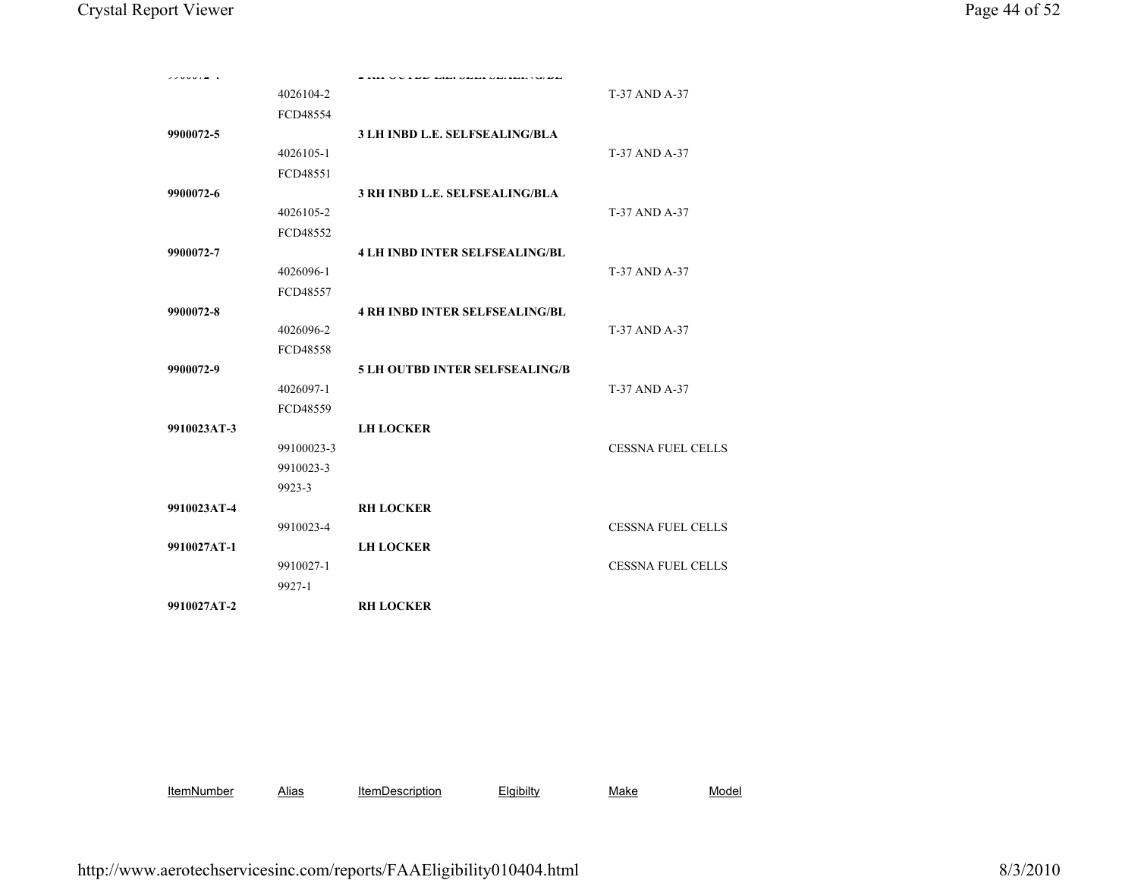|             | 4026104-2  |                                       | T-37 AND A-37            |
|-------------|------------|---------------------------------------|--------------------------|
|             | FCD48554   |                                       |                          |
| 9900072-5   |            | <b>3 LH INBD L.E. SELFSEALING/BLA</b> |                          |
|             | 4026105-1  |                                       | T-37 AND A-37            |
|             | FCD48551   |                                       |                          |
| 9900072-6   |            | 3 RH INBD L.E. SELFSEALING/BLA        |                          |
|             | 4026105-2  |                                       | T-37 AND A-37            |
|             | FCD48552   |                                       |                          |
| 9900072-7   |            | <b>4 LH INBD INTER SELFSEALING/BL</b> |                          |
|             | 4026096-1  |                                       | T-37 AND A-37            |
|             | FCD48557   |                                       |                          |
| 9900072-8   |            | <b>4 RH INBD INTER SELFSEALING/BL</b> |                          |
|             | 4026096-2  |                                       | T-37 AND A-37            |
|             | FCD48558   |                                       |                          |
| 9900072-9   |            | <b>5 LH OUTBD INTER SELFSEALING/B</b> |                          |
|             | 4026097-1  |                                       | T-37 AND A-37            |
|             | FCD48559   |                                       |                          |
| 9910023AT-3 |            | <b>LH LOCKER</b>                      |                          |
|             | 99100023-3 |                                       | <b>CESSNA FUEL CELLS</b> |
|             | 9910023-3  |                                       |                          |
|             | 9923-3     |                                       |                          |
| 9910023AT-4 |            | <b>RH LOCKER</b>                      |                          |
|             | 9910023-4  |                                       | <b>CESSNA FUEL CELLS</b> |
| 9910027AT-1 |            | <b>LH LOCKER</b>                      |                          |
|             | 9910027-1  |                                       | <b>CESSNA FUEL CELLS</b> |
|             | 9927-1     |                                       |                          |
| 9910027AT-2 |            | <b>RH LOCKER</b>                      |                          |
|             |            |                                       |                          |
|             |            |                                       |                          |
|             |            |                                       |                          |
|             |            |                                       |                          |

**ItemNumber**  AliasItemDescription Elgibilty Make Model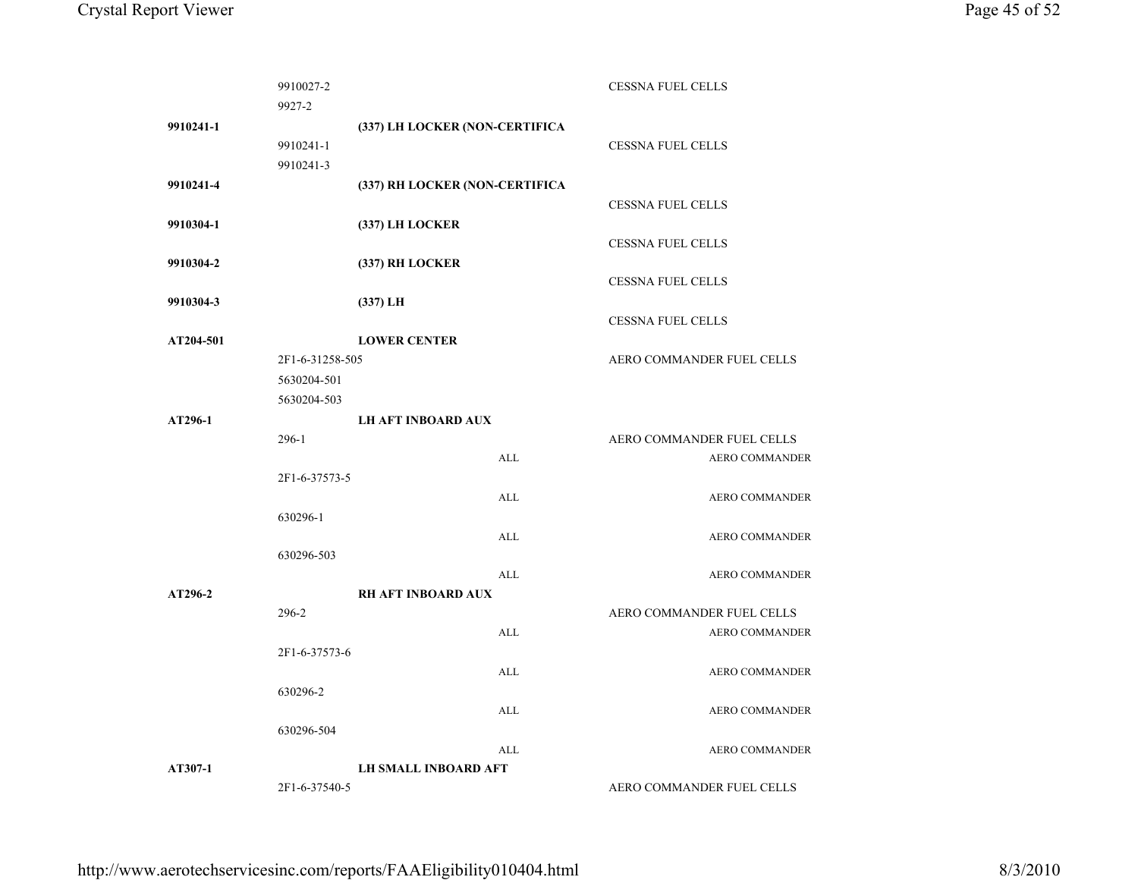|           | 9910027-2       |                                |            | <b>CESSNA FUEL CELLS</b>  |
|-----------|-----------------|--------------------------------|------------|---------------------------|
|           | 9927-2          |                                |            |                           |
| 9910241-1 |                 | (337) LH LOCKER (NON-CERTIFICA |            |                           |
|           | 9910241-1       |                                |            | <b>CESSNA FUEL CELLS</b>  |
|           | 9910241-3       |                                |            |                           |
| 9910241-4 |                 | (337) RH LOCKER (NON-CERTIFICA |            |                           |
|           |                 |                                |            | <b>CESSNA FUEL CELLS</b>  |
| 9910304-1 |                 | (337) LH LOCKER                |            |                           |
|           |                 |                                |            | <b>CESSNA FUEL CELLS</b>  |
| 9910304-2 |                 | (337) RH LOCKER                |            |                           |
|           |                 |                                |            | <b>CESSNA FUEL CELLS</b>  |
| 9910304-3 |                 | $(337)$ LH                     |            |                           |
|           |                 |                                |            | <b>CESSNA FUEL CELLS</b>  |
| AT204-501 |                 | <b>LOWER CENTER</b>            |            |                           |
|           | 2F1-6-31258-505 |                                |            | AERO COMMANDER FUEL CELLS |
|           | 5630204-501     |                                |            |                           |
|           | 5630204-503     |                                |            |                           |
| AT296-1   |                 | <b>LH AFT INBOARD AUX</b>      |            |                           |
|           | $296-1$         |                                |            | AERO COMMANDER FUEL CELLS |
|           |                 |                                | ALL        | <b>AERO COMMANDER</b>     |
|           | 2F1-6-37573-5   |                                |            |                           |
|           |                 |                                | <b>ALL</b> | <b>AERO COMMANDER</b>     |
|           | 630296-1        |                                |            |                           |
|           |                 |                                | ALL        | <b>AERO COMMANDER</b>     |
|           | 630296-503      |                                |            |                           |
|           |                 |                                | ALL        | <b>AERO COMMANDER</b>     |
| AT296-2   |                 | <b>RH AFT INBOARD AUX</b>      |            |                           |
|           | 296-2           |                                |            | AERO COMMANDER FUEL CELLS |
|           |                 |                                | ALL        | <b>AERO COMMANDER</b>     |
|           | 2F1-6-37573-6   |                                |            |                           |
|           |                 |                                | ALL        | <b>AERO COMMANDER</b>     |
|           | 630296-2        |                                |            |                           |
|           |                 |                                | ALL        | <b>AERO COMMANDER</b>     |
|           | 630296-504      |                                |            |                           |
|           |                 |                                | ALL        | <b>AERO COMMANDER</b>     |
| AT307-1   |                 | <b>LH SMALL INBOARD AFT</b>    |            |                           |
|           | 2F1-6-37540-5   |                                |            | AERO COMMANDER FUEL CELLS |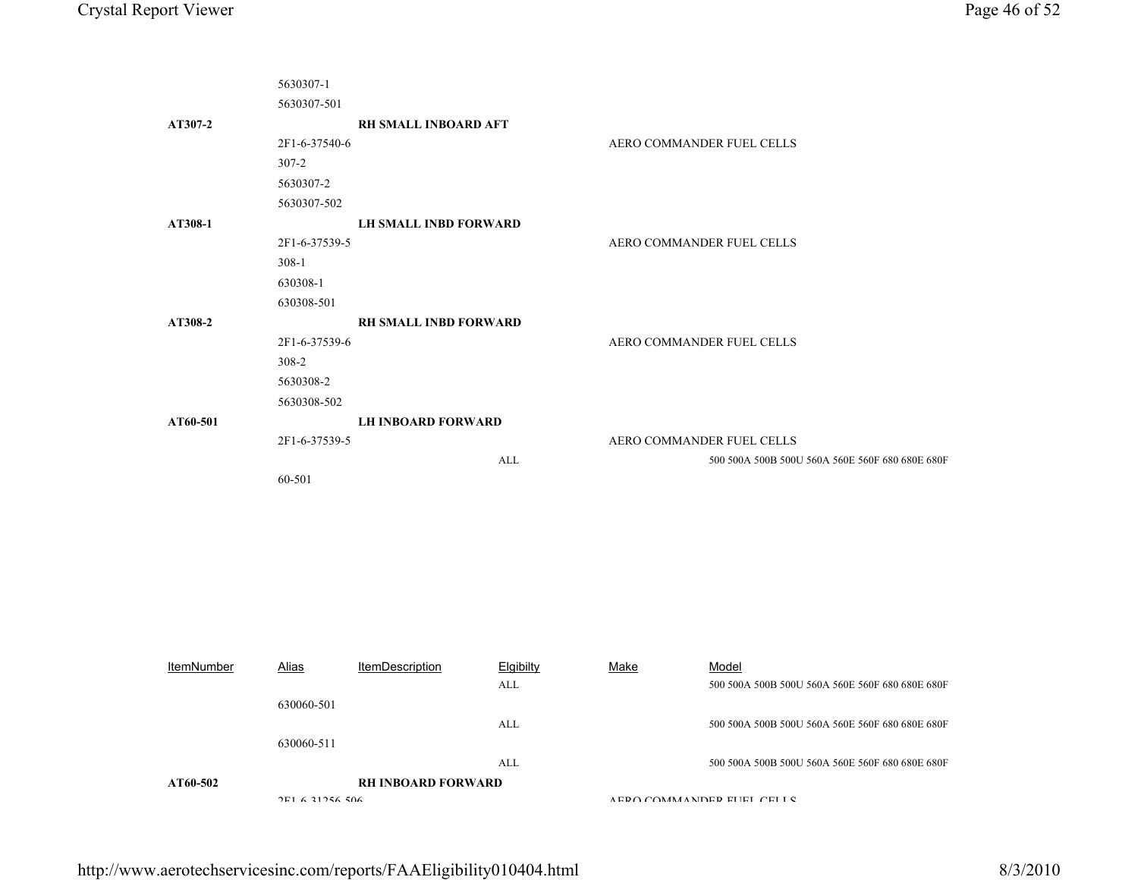|                   | 5630307-1<br>5630307-501 |                              |              |      |                                                 |
|-------------------|--------------------------|------------------------------|--------------|------|-------------------------------------------------|
| AT307-2           |                          | RH SMALL INBOARD AFT         |              |      |                                                 |
|                   | 2F1-6-37540-6            |                              |              |      | AERO COMMANDER FUEL CELLS                       |
|                   | $307 - 2$                |                              |              |      |                                                 |
|                   | 5630307-2                |                              |              |      |                                                 |
|                   | 5630307-502              |                              |              |      |                                                 |
| AT308-1           |                          | <b>LH SMALL INBD FORWARD</b> |              |      |                                                 |
|                   | 2F1-6-37539-5            |                              |              |      | AERO COMMANDER FUEL CELLS                       |
|                   | $308-1$                  |                              |              |      |                                                 |
|                   | 630308-1                 |                              |              |      |                                                 |
|                   | 630308-501               |                              |              |      |                                                 |
| AT308-2           |                          | RH SMALL INBD FORWARD        |              |      |                                                 |
|                   | 2F1-6-37539-6<br>308-2   |                              |              |      | AERO COMMANDER FUEL CELLS                       |
|                   | 5630308-2                |                              |              |      |                                                 |
|                   | 5630308-502              |                              |              |      |                                                 |
| AT60-501          | and in                   | <b>LH INBOARD FORWARD</b>    |              |      |                                                 |
|                   | 2F1-6-37539-5            |                              |              |      | AERO COMMANDER FUEL CELLS                       |
|                   |                          |                              | ALL          |      | 500 500A 500B 500U 560A 560E 560F 680 680E 680F |
|                   | 60-501                   |                              |              |      |                                                 |
|                   |                          |                              |              |      |                                                 |
|                   |                          |                              |              |      |                                                 |
|                   |                          |                              |              |      |                                                 |
|                   |                          |                              |              |      |                                                 |
|                   |                          |                              |              |      |                                                 |
|                   |                          |                              |              |      |                                                 |
|                   |                          |                              |              |      |                                                 |
|                   |                          |                              |              |      |                                                 |
| <b>ItemNumber</b> | Alias                    | <b>ItemDescription</b>       | Elgibilty    | Make | Model                                           |
|                   |                          |                              | $\mbox{ALL}$ |      | 500 500A 500B 500U 560A 560E 560F 680 680E 680F |
|                   | 630060-501               |                              |              |      |                                                 |
|                   |                          |                              | <b>ALL</b>   |      | 500 500A 500B 500U 560A 560E 560F 680 680E 680F |
|                   | 630060-511               |                              |              |      |                                                 |

ALL

**RH INBOARD FORWARD**

 $2E1 6 21256 506$ 

**AT60-502**

500 500A 500B 500U 560A 560E 560F 680 680E 680F

A EDO COMMANDED ELIEL CELLS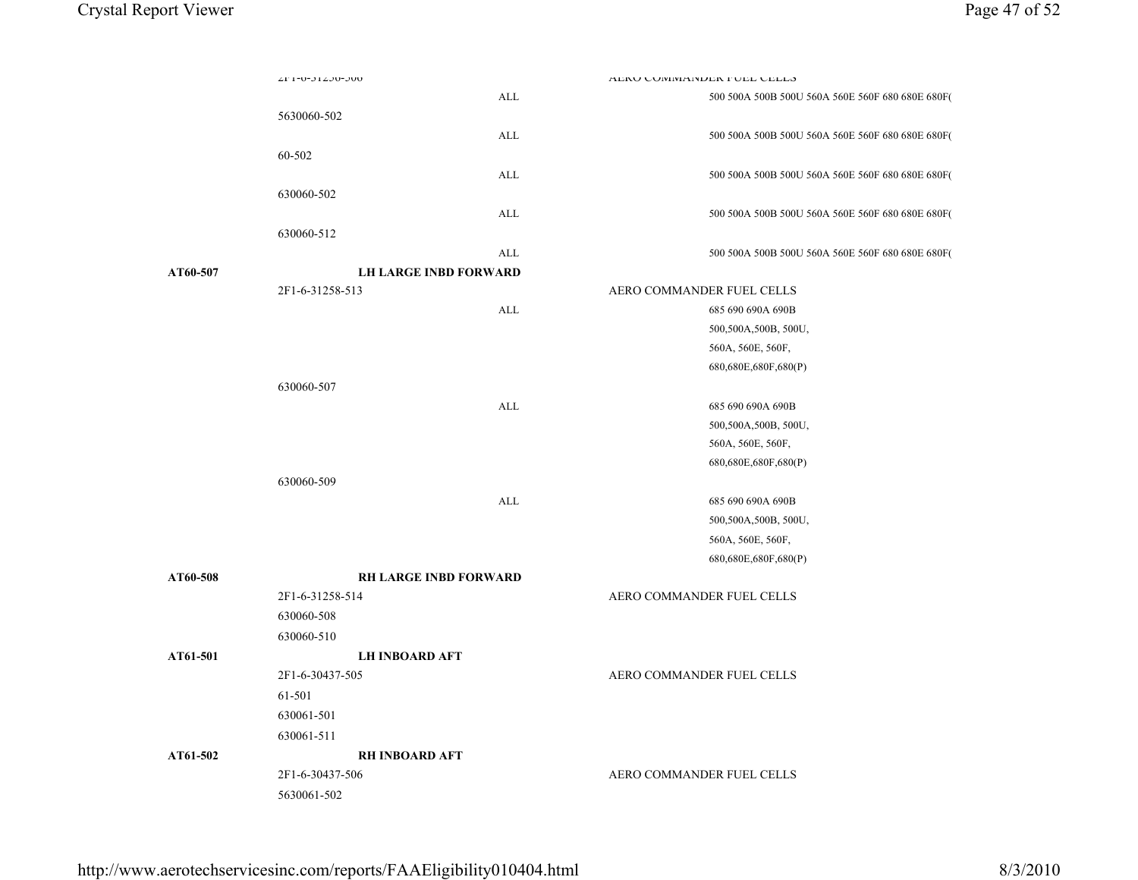|          | ZF1-0-J1ZJ0-JUU              |            | AERO COMINIANDER FUEL CELLO                      |  |
|----------|------------------------------|------------|--------------------------------------------------|--|
|          |                              | ALL        | 500 500A 500B 500U 560A 560E 560F 680 680E 680F( |  |
|          | 5630060-502                  |            |                                                  |  |
|          |                              | ALL        | 500 500A 500B 500U 560A 560E 560F 680 680E 680F( |  |
|          | 60-502                       |            |                                                  |  |
|          |                              | ALL        | 500 500A 500B 500U 560A 560E 560F 680 680E 680F( |  |
|          | 630060-502                   |            |                                                  |  |
|          |                              | ALL        | 500 500A 500B 500U 560A 560E 560F 680 680E 680F( |  |
|          | 630060-512                   |            |                                                  |  |
|          |                              | <b>ALL</b> | 500 500A 500B 500U 560A 560E 560F 680 680E 680F( |  |
| AT60-507 | <b>LH LARGE INBD FORWARD</b> |            |                                                  |  |
|          | 2F1-6-31258-513              |            | AERO COMMANDER FUEL CELLS                        |  |
|          |                              | ALL        | 685 690 690A 690B                                |  |
|          |                              |            | 500,500A,500B, 500U,                             |  |
|          |                              |            | 560A, 560E, 560F,                                |  |
|          |                              |            | 680,680E,680F,680(P)                             |  |
|          | 630060-507                   |            |                                                  |  |
|          |                              | ALL        | 685 690 690A 690B                                |  |
|          |                              |            | 500,500A,500B, 500U,                             |  |
|          |                              |            | 560A, 560E, 560F,                                |  |
|          |                              |            | 680,680E,680F,680(P)                             |  |
|          | 630060-509                   |            |                                                  |  |
|          |                              | ALL        | 685 690 690A 690B                                |  |
|          |                              |            | 500,500A,500B, 500U,                             |  |
|          |                              |            | 560A, 560E, 560F,                                |  |
|          |                              |            | 680,680E,680F,680(P)                             |  |
| AT60-508 | <b>RH LARGE INBD FORWARD</b> |            |                                                  |  |
|          | 2F1-6-31258-514              |            | AERO COMMANDER FUEL CELLS                        |  |
|          | 630060-508                   |            |                                                  |  |
|          | 630060-510                   |            |                                                  |  |
| AT61-501 | <b>LH INBOARD AFT</b>        |            |                                                  |  |
|          | 2F1-6-30437-505              |            | AERO COMMANDER FUEL CELLS                        |  |
|          | 61-501                       |            |                                                  |  |
|          | 630061-501                   |            |                                                  |  |
|          | 630061-511                   |            |                                                  |  |
| AT61-502 | <b>RH INBOARD AFT</b>        |            |                                                  |  |
|          | 2F1-6-30437-506              |            | AERO COMMANDER FUEL CELLS                        |  |
|          | 5630061-502                  |            |                                                  |  |
|          |                              |            |                                                  |  |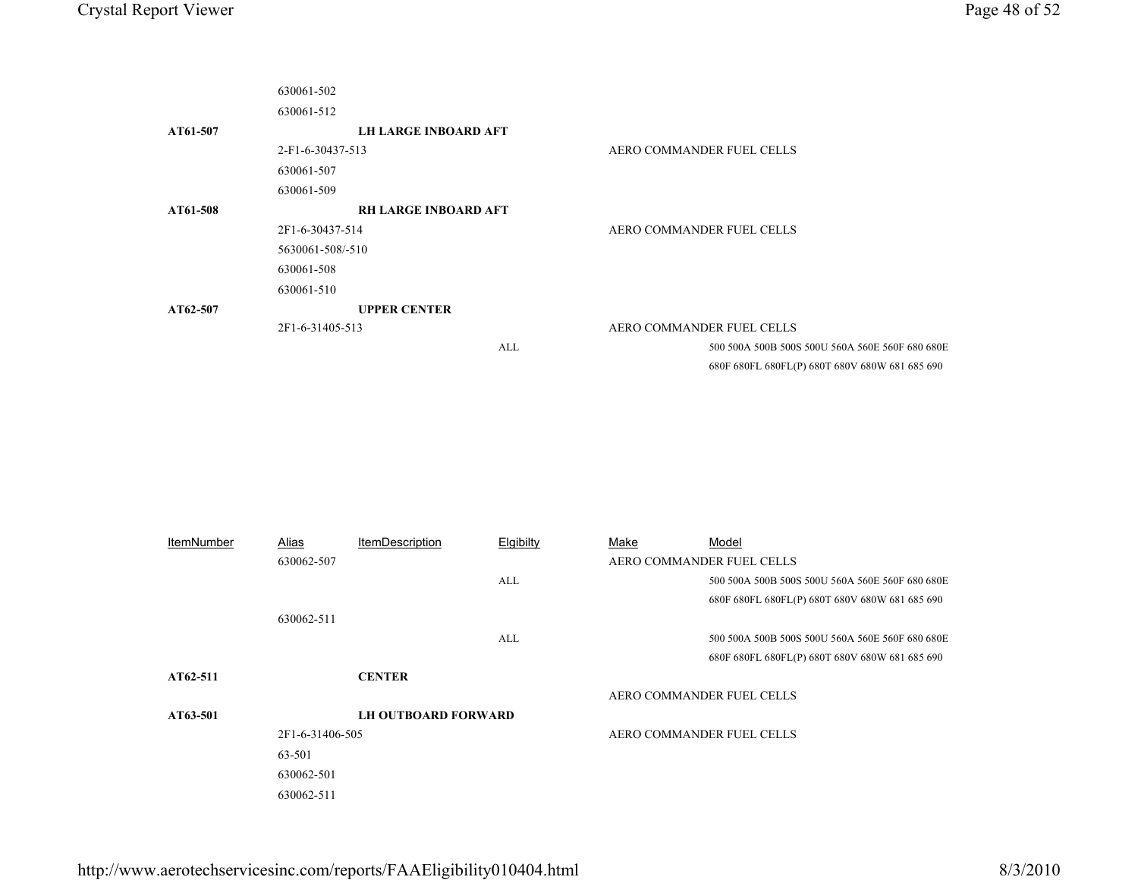|                   | 630061-502          |                             |           |                           |                                                 |
|-------------------|---------------------|-----------------------------|-----------|---------------------------|-------------------------------------------------|
|                   | 630061-512          |                             |           |                           |                                                 |
| AT61-507          |                     | <b>LH LARGE INBOARD AFT</b> |           |                           |                                                 |
|                   | 2-F1-6-30437-513    |                             |           |                           | AERO COMMANDER FUEL CELLS                       |
|                   | 630061-507          |                             |           |                           |                                                 |
|                   | 630061-509          |                             |           |                           |                                                 |
| AT61-508          |                     | <b>RH LARGE INBOARD AFT</b> |           |                           |                                                 |
|                   | 2F1-6-30437-514     |                             |           | AERO COMMANDER FUEL CELLS |                                                 |
|                   | 5630061-508/-510    |                             |           |                           |                                                 |
|                   | 630061-508          |                             |           |                           |                                                 |
|                   | 630061-510          |                             |           |                           |                                                 |
| AT62-507          | <b>UPPER CENTER</b> |                             |           |                           |                                                 |
|                   | 2F1-6-31405-513     |                             |           |                           | AERO COMMANDER FUEL CELLS                       |
|                   |                     |                             | ALL       |                           | 500 500A 500B 500S 500U 560A 560E 560F 680 680E |
|                   |                     |                             |           |                           | 680F 680FL 680FL(P) 680T 680V 680W 681 685 690  |
|                   |                     |                             |           |                           |                                                 |
|                   |                     |                             |           |                           |                                                 |
|                   |                     |                             |           |                           |                                                 |
|                   |                     |                             |           |                           |                                                 |
|                   |                     |                             |           |                           |                                                 |
|                   |                     |                             |           |                           |                                                 |
|                   |                     |                             |           |                           |                                                 |
| <b>ItemNumber</b> | Alias               | <b>ItemDescription</b>      | Elgibilty | Make                      | Model                                           |
|                   | 630062-507          |                             |           |                           | AERO COMMANDER FUEL CELLS                       |
|                   |                     |                             | ALL       |                           | 500 500A 500B 500S 500U 560A 560E 560F 680 680E |
|                   |                     |                             |           |                           | 680F 680FL 680FL(P) 680T 680V 680W 681 685 690  |
|                   | 630062-511          |                             |           |                           |                                                 |
|                   |                     |                             | ALL       |                           | 500 500A 500B 500S 500U 560A 560E 560F 680 680E |
|                   |                     |                             |           |                           | 680F 680FL 680FL(P) 680T 680V 680W 681 685 690  |
| AT62-511          |                     | <b>CENTER</b>               |           |                           |                                                 |
|                   |                     |                             |           |                           | AERO COMMANDER FUEL CELLS                       |
| AT63-501          |                     | <b>LH OUTBOARD FORWARD</b>  |           |                           |                                                 |
|                   | 2F1-6-31406-505     |                             |           |                           | AERO COMMANDER FUEL CELLS                       |
|                   | 63-501              |                             |           |                           |                                                 |
|                   | 630062-501          |                             |           |                           |                                                 |
|                   | 630062-511          |                             |           |                           |                                                 |
|                   |                     |                             |           |                           |                                                 |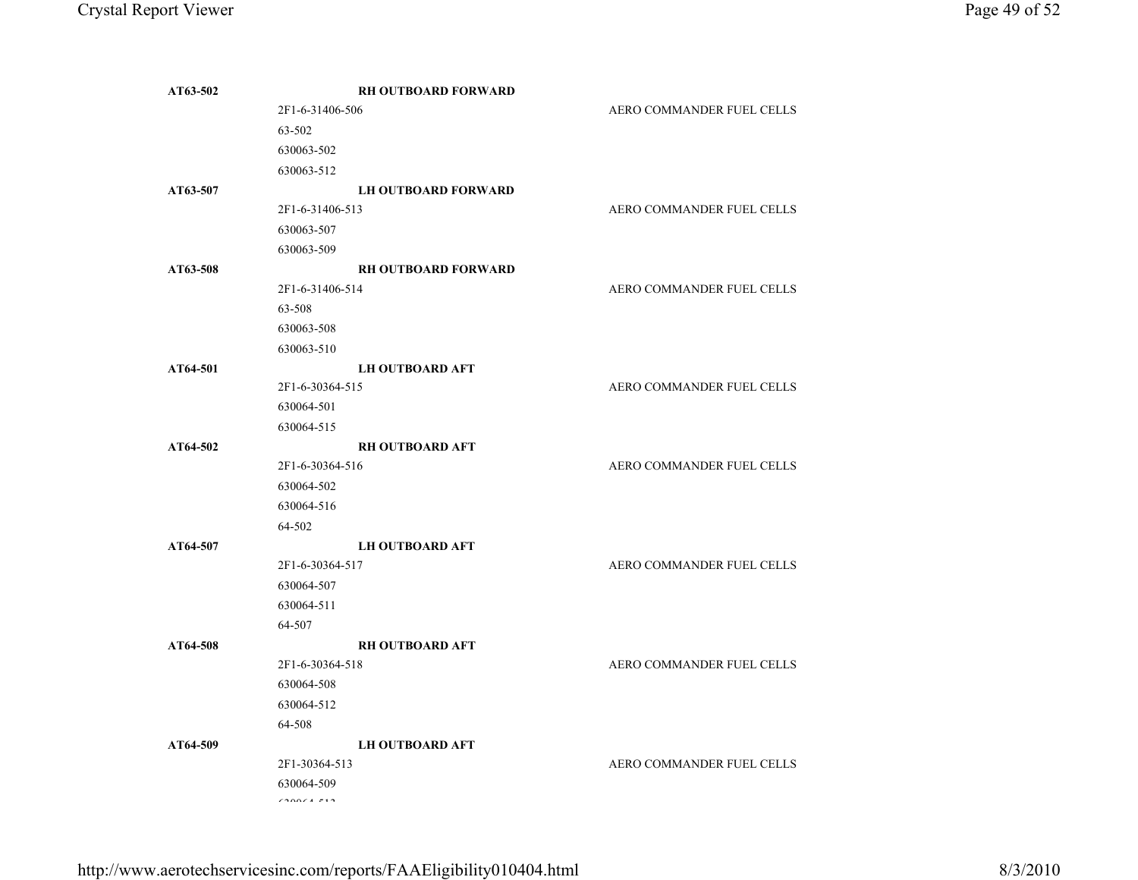| AT63-502 | <b>RH OUTBOARD FORWARD</b> |                           |
|----------|----------------------------|---------------------------|
|          | 2F1-6-31406-506            | AERO COMMANDER FUEL CELLS |
|          | 63-502                     |                           |
|          | 630063-502                 |                           |
|          | 630063-512                 |                           |
| AT63-507 | <b>LH OUTBOARD FORWARD</b> |                           |
|          | 2F1-6-31406-513            | AERO COMMANDER FUEL CELLS |
|          | 630063-507                 |                           |
|          | 630063-509                 |                           |
| AT63-508 | <b>RH OUTBOARD FORWARD</b> |                           |
|          | 2F1-6-31406-514            | AERO COMMANDER FUEL CELLS |
|          | 63-508                     |                           |
|          | 630063-508                 |                           |
|          | 630063-510                 |                           |
| AT64-501 | <b>LH OUTBOARD AFT</b>     |                           |
|          | 2F1-6-30364-515            | AERO COMMANDER FUEL CELLS |
|          | 630064-501                 |                           |
|          | 630064-515                 |                           |
| AT64-502 | <b>RH OUTBOARD AFT</b>     |                           |
|          | 2F1-6-30364-516            | AERO COMMANDER FUEL CELLS |
|          | 630064-502                 |                           |
|          | 630064-516                 |                           |
|          | 64-502                     |                           |
| AT64-507 | <b>LH OUTBOARD AFT</b>     |                           |
|          | 2F1-6-30364-517            | AERO COMMANDER FUEL CELLS |
|          | 630064-507                 |                           |
|          | 630064-511                 |                           |
|          | 64-507                     |                           |
| AT64-508 | <b>RH OUTBOARD AFT</b>     |                           |
|          | 2F1-6-30364-518            | AERO COMMANDER FUEL CELLS |
|          | 630064-508                 |                           |
|          | 630064-512                 |                           |
|          | 64-508                     |                           |
| AT64-509 | <b>LH OUTBOARD AFT</b>     |                           |
|          | 2F1-30364-513              | AERO COMMANDER FUEL CELLS |
|          | 630064-509                 |                           |
|          | *********                  |                           |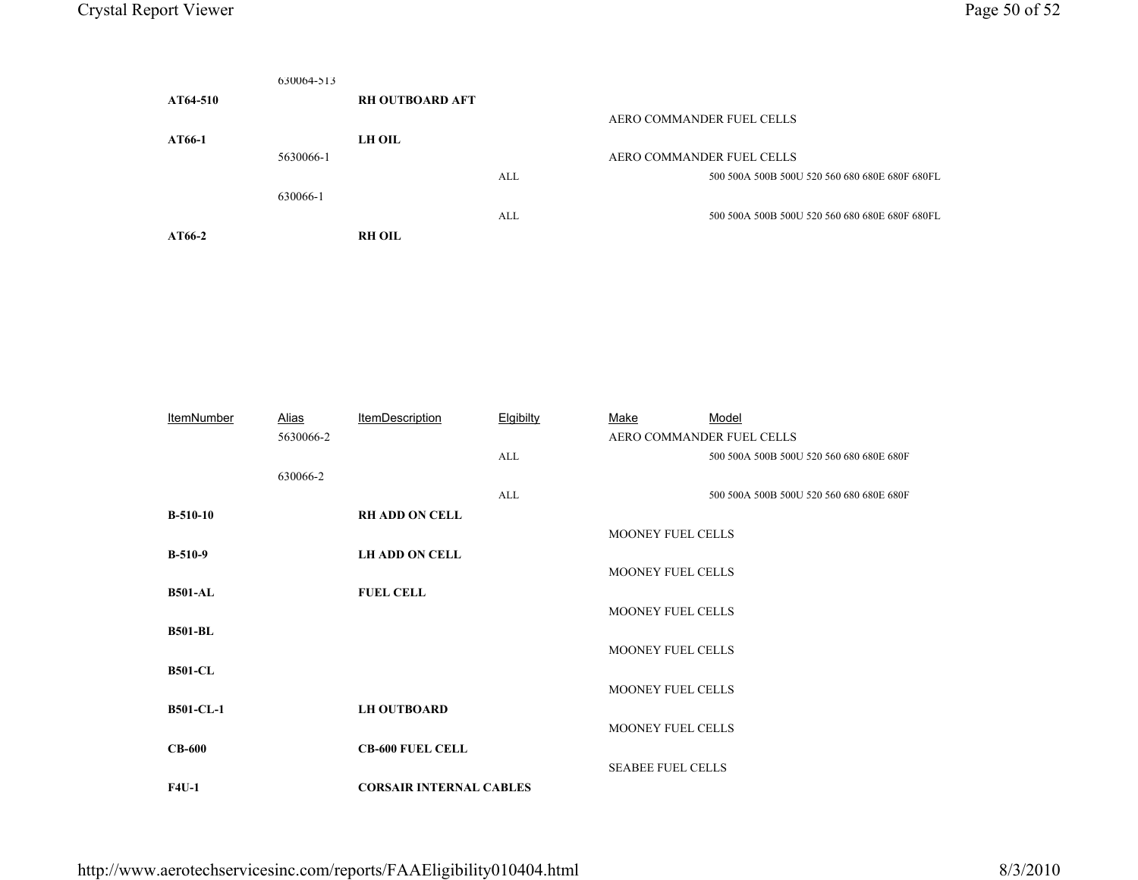|                                           | 630064-513                                                                    |                   |                                                |  |  |
|-------------------------------------------|-------------------------------------------------------------------------------|-------------------|------------------------------------------------|--|--|
| AT64-510                                  | <b>RH OUTBOARD AFT</b>                                                        |                   |                                                |  |  |
|                                           |                                                                               |                   | AERO COMMANDER FUEL CELLS                      |  |  |
| AT66-1                                    | <b>LH OIL</b>                                                                 |                   |                                                |  |  |
|                                           | 5630066-1                                                                     |                   | AERO COMMANDER FUEL CELLS                      |  |  |
|                                           |                                                                               | $\mbox{ALL}$      | 500 500A 500B 500U 520 560 680 680E 680F 680FL |  |  |
|                                           | 630066-1                                                                      |                   |                                                |  |  |
|                                           |                                                                               | ALL               | 500 500A 500B 500U 520 560 680 680E 680F 680FL |  |  |
| AT66-2                                    | <b>RH OIL</b>                                                                 |                   |                                                |  |  |
|                                           |                                                                               |                   |                                                |  |  |
|                                           |                                                                               |                   |                                                |  |  |
|                                           |                                                                               |                   |                                                |  |  |
|                                           |                                                                               |                   |                                                |  |  |
|                                           |                                                                               |                   |                                                |  |  |
|                                           |                                                                               |                   |                                                |  |  |
|                                           |                                                                               |                   |                                                |  |  |
|                                           |                                                                               |                   |                                                |  |  |
| The concentration of the concentration of | $A \cup A$<br>$\mathbf{B}$ and $\mathbf{B}$ and $\mathbf{B}$ and $\mathbf{B}$ | <b>CONTRACTOR</b> | <b>B</b> <i>B</i> - <b>I</b><br><b>BA</b> 1    |  |  |

| <b>ItemNumber</b> | <u>Alias</u> | <b>ItemDescription</b>         | <b>Elgibilty</b> | Make                     | Model                                    |
|-------------------|--------------|--------------------------------|------------------|--------------------------|------------------------------------------|
|                   | 5630066-2    |                                |                  |                          | AERO COMMANDER FUEL CELLS                |
|                   |              |                                | ALL              |                          | 500 500A 500B 500U 520 560 680 680E 680F |
|                   | 630066-2     |                                |                  |                          |                                          |
|                   |              |                                | ALL              |                          | 500 500A 500B 500U 520 560 680 680E 680F |
| $B-510-10$        |              | <b>RH ADD ON CELL</b>          |                  |                          |                                          |
|                   |              |                                |                  | MOONEY FUEL CELLS        |                                          |
| $B-510-9$         |              | <b>LH ADD ON CELL</b>          |                  |                          |                                          |
|                   |              |                                |                  | MOONEY FUEL CELLS        |                                          |
| <b>B501-AL</b>    |              | <b>FUEL CELL</b>               |                  |                          |                                          |
|                   |              |                                |                  | MOONEY FUEL CELLS        |                                          |
| <b>B501-BL</b>    |              |                                |                  |                          |                                          |
|                   |              |                                |                  | MOONEY FUEL CELLS        |                                          |
| <b>B501-CL</b>    |              |                                |                  |                          |                                          |
|                   |              |                                |                  | MOONEY FUEL CELLS        |                                          |
| <b>B501-CL-1</b>  |              | <b>LH OUTBOARD</b>             |                  |                          |                                          |
|                   |              |                                |                  | MOONEY FUEL CELLS        |                                          |
| $CB-600$          |              | <b>CB-600 FUEL CELL</b>        |                  |                          |                                          |
|                   |              |                                |                  | <b>SEABEE FUEL CELLS</b> |                                          |
| <b>F4U-1</b>      |              | <b>CORSAIR INTERNAL CABLES</b> |                  |                          |                                          |
|                   |              |                                |                  |                          |                                          |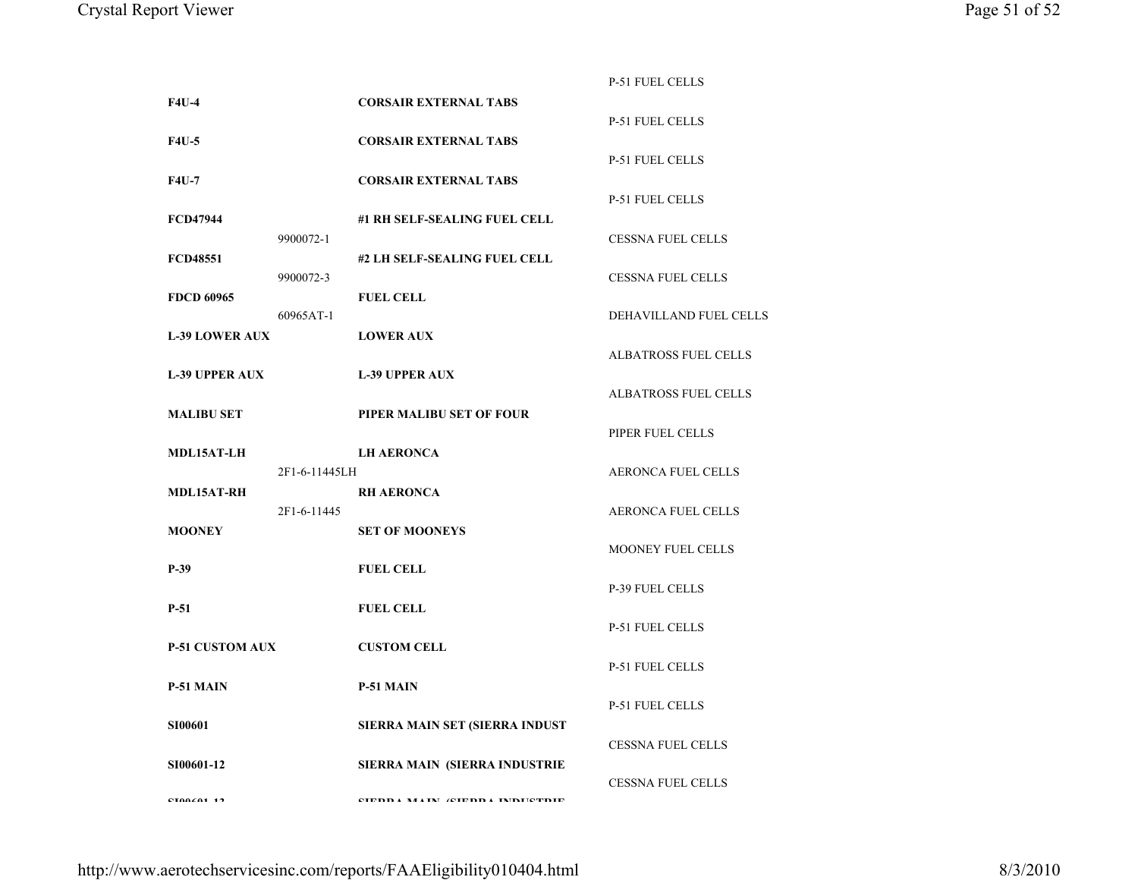|                        |               |                                | <b>P-51 FUEL CELLS</b>      |
|------------------------|---------------|--------------------------------|-----------------------------|
| <b>F4U-4</b>           |               | <b>CORSAIR EXTERNAL TABS</b>   |                             |
|                        |               |                                | <b>P-51 FUEL CELLS</b>      |
| <b>F4U-5</b>           |               | <b>CORSAIR EXTERNAL TABS</b>   |                             |
|                        |               |                                | <b>P-51 FUEL CELLS</b>      |
| <b>F4U-7</b>           |               | <b>CORSAIR EXTERNAL TABS</b>   |                             |
|                        |               |                                | <b>P-51 FUEL CELLS</b>      |
| <b>FCD47944</b>        |               | #1 RH SELF-SEALING FUEL CELL   |                             |
|                        | 9900072-1     |                                | <b>CESSNA FUEL CELLS</b>    |
| <b>FCD48551</b>        |               | #2 LH SELF-SEALING FUEL CELL   |                             |
|                        | 9900072-3     |                                | <b>CESSNA FUEL CELLS</b>    |
| <b>FDCD 60965</b>      |               | <b>FUEL CELL</b>               |                             |
|                        | 60965AT-1     |                                | DEHAVILLAND FUEL CELLS      |
| <b>L-39 LOWER AUX</b>  |               | <b>LOWER AUX</b>               |                             |
|                        |               |                                | <b>ALBATROSS FUEL CELLS</b> |
| <b>L-39 UPPER AUX</b>  |               | <b>L-39 UPPER AUX</b>          |                             |
|                        |               |                                | <b>ALBATROSS FUEL CELLS</b> |
|                        |               |                                |                             |
| <b>MALIBU SET</b>      |               | PIPER MALIBU SET OF FOUR       |                             |
|                        |               |                                | PIPER FUEL CELLS            |
| <b>MDL15AT-LH</b>      |               | <b>LH AERONCA</b>              |                             |
|                        | 2F1-6-11445LH |                                | <b>AERONCA FUEL CELLS</b>   |
| <b>MDL15AT-RH</b>      |               | <b>RH AERONCA</b>              |                             |
|                        | 2F1-6-11445   |                                | <b>AERONCA FUEL CELLS</b>   |
| <b>MOONEY</b>          |               | <b>SET OF MOONEYS</b>          |                             |
|                        |               |                                | MOONEY FUEL CELLS           |
| $P-39$                 |               | <b>FUEL CELL</b>               |                             |
|                        |               |                                | <b>P-39 FUEL CELLS</b>      |
| $P-51$                 |               | <b>FUEL CELL</b>               |                             |
|                        |               |                                | <b>P-51 FUEL CELLS</b>      |
| <b>P-51 CUSTOM AUX</b> |               | <b>CUSTOM CELL</b>             |                             |
|                        |               |                                | <b>P-51 FUEL CELLS</b>      |
| P-51 MAIN              |               | P-51 MAIN                      |                             |
|                        |               |                                | <b>P-51 FUEL CELLS</b>      |
| <b>SI00601</b>         |               | SIERRA MAIN SET (SIERRA INDUST |                             |
|                        |               |                                | <b>CESSNA FUEL CELLS</b>    |
| SI00601-12             |               | SIERRA MAIN (SIERRA INDUSTRIE  |                             |
|                        |               |                                | <b>CESSNA FUEL CELLS</b>    |
|                        |               |                                |                             |